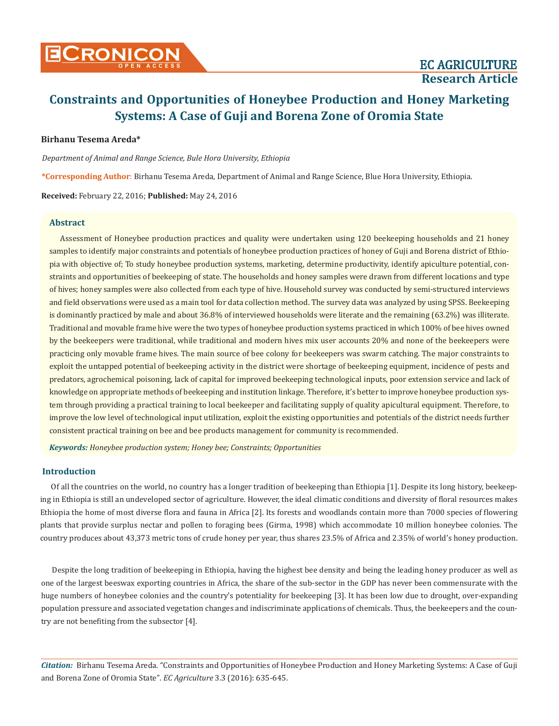# **Birhanu Tesema Areda\***

*Department of Animal and Range Science, Bule Hora University, Ethiopia*

**\*Corresponding Author**: Birhanu Tesema Areda, Department of Animal and Range Science, Blue Hora University, Ethiopia.

**Received:** February 22, 2016; **Published:** May 24, 2016

# **Abstract**

Assessment of Honeybee production practices and quality were undertaken using 120 beekeeping households and 21 honey samples to identify major constraints and potentials of honeybee production practices of honey of Guji and Borena district of Ethiopia with objective of; To study honeybee production systems, marketing, determine productivity, identify apiculture potential, constraints and opportunities of beekeeping of state. The households and honey samples were drawn from different locations and type of hives; honey samples were also collected from each type of hive. Household survey was conducted by semi-structured interviews and field observations were used as a main tool for data collection method. The survey data was analyzed by using SPSS. Beekeeping is dominantly practiced by male and about 36.8% of interviewed households were literate and the remaining (63.2%) was illiterate. Traditional and movable frame hive were the two types of honeybee production systems practiced in which 100% of bee hives owned by the beekeepers were traditional, while traditional and modern hives mix user accounts 20% and none of the beekeepers were practicing only movable frame hives. The main source of bee colony for beekeepers was swarm catching. The major constraints to exploit the untapped potential of beekeeping activity in the district were shortage of beekeeping equipment, incidence of pests and predators, agrochemical poisoning, lack of capital for improved beekeeping technological inputs, poor extension service and lack of knowledge on appropriate methods of beekeeping and institution linkage. Therefore, it's better to improve honeybee production system through providing a practical training to local beekeeper and facilitating supply of quality apicultural equipment. Therefore, to improve the low level of technological input utilization, exploit the existing opportunities and potentials of the district needs further consistent practical training on bee and bee products management for community is recommended.

*Keywords: Honeybee production system; Honey bee; Constraints; Opportunities*

### **Introduction**

Of all the countries on the world, no country has a longer tradition of beekeeping than Ethiopia [1]. Despite its long history, beekeeping in Ethiopia is still an undeveloped sector of agriculture. However, the ideal climatic conditions and diversity of floral resources makes Ethiopia the home of most diverse flora and fauna in Africa [2]. Its forests and woodlands contain more than 7000 species of flowering plants that provide surplus nectar and pollen to foraging bees (Girma, 1998) which accommodate 10 million honeybee colonies. The country produces about 43,373 metric tons of crude honey per year, thus shares 23.5% of Africa and 2.35% of world's honey production.

Despite the long tradition of beekeeping in Ethiopia, having the highest bee density and being the leading honey producer as well as one of the largest beeswax exporting countries in Africa, the share of the sub-sector in the GDP has never been commensurate with the huge numbers of honeybee colonies and the country's potentiality for beekeeping [3]. It has been low due to drought, over-expanding population pressure and associated vegetation changes and indiscriminate applications of chemicals. Thus, the beekeepers and the country are not benefiting from the subsector [4].

*Citation:* Birhanu Tesema Areda. "Constraints and Opportunities of Honeybee Production and Honey Marketing Systems: A Case of Guji and Borena Zone of Oromia State". *EC Agriculture* 3.3 (2016): 635-645.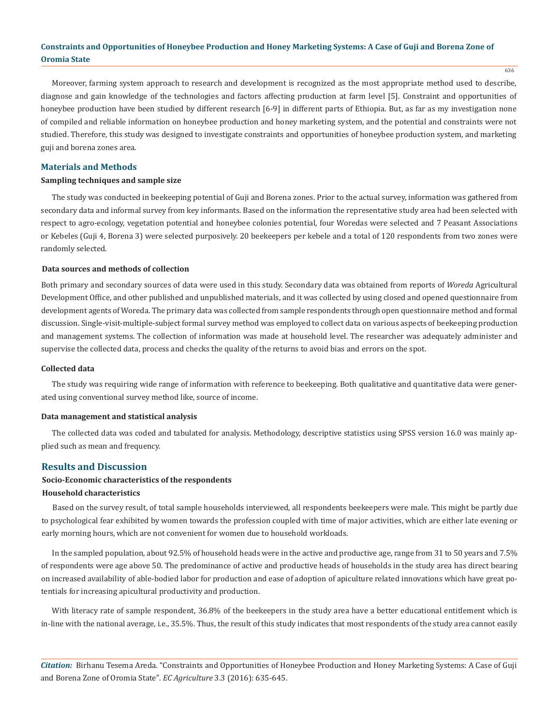636

Moreover, farming system approach to research and development is recognized as the most appropriate method used to describe, diagnose and gain knowledge of the technologies and factors affecting production at farm level [5]. Constraint and opportunities of honeybee production have been studied by different research [6-9] in different parts of Ethiopia. But, as far as my investigation none of compiled and reliable information on honeybee production and honey marketing system, and the potential and constraints were not studied. Therefore, this study was designed to investigate constraints and opportunities of honeybee production system, and marketing guji and borena zones area.

# **Materials and Methods**

### **Sampling techniques and sample size**

The study was conducted in beekeeping potential of Guji and Borena zones. Prior to the actual survey, information was gathered from secondary data and informal survey from key informants. Based on the information the representative study area had been selected with respect to agro-ecology, vegetation potential and honeybee colonies potential, four Woredas were selected and 7 Peasant Associations or Kebeles (Guji 4, Borena 3) were selected purposively. 20 beekeepers per kebele and a total of 120 respondents from two zones were randomly selected.

### **Data sources and methods of collection**

Both primary and secondary sources of data were used in this study. Secondary data was obtained from reports of *Woreda* Agricultural Development Office, and other published and unpublished materials, and it was collected by using closed and opened questionnaire from development agents of Woreda. The primary data was collected from sample respondents through open questionnaire method and formal discussion. Single-visit-multiple-subject formal survey method was employed to collect data on various aspects of beekeeping production and management systems. The collection of information was made at household level. The researcher was adequately administer and supervise the collected data, process and checks the quality of the returns to avoid bias and errors on the spot.

### **Collected data**

The study was requiring wide range of information with reference to beekeeping. Both qualitative and quantitative data were generated using conventional survey method like, source of income.

#### **Data management and statistical analysis**

The collected data was coded and tabulated for analysis. Methodology, descriptive statistics using SPSS version 16.0 was mainly applied such as mean and frequency.

### **Results and Discussion**

# **Socio-Economic characteristics of the respondents**

#### **Household characteristics**

Based on the survey result, of total sample households interviewed, all respondents beekeepers were male. This might be partly due to psychological fear exhibited by women towards the profession coupled with time of major activities, which are either late evening or early morning hours, which are not convenient for women due to household workloads.

In the sampled population, about 92.5% of household heads were in the active and productive age, range from 31 to 50 years and 7.5% of respondents were age above 50. The predominance of active and productive heads of households in the study area has direct bearing on increased availability of able-bodied labor for production and ease of adoption of apiculture related innovations which have great potentials for increasing apicultural productivity and production.

With literacy rate of sample respondent, 36.8% of the beekeepers in the study area have a better educational entitlement which is in-line with the national average, i.e., 35.5%. Thus, the result of this study indicates that most respondents of the study area cannot easily

*Citation:* Birhanu Tesema Areda. "Constraints and Opportunities of Honeybee Production and Honey Marketing Systems: A Case of Guji and Borena Zone of Oromia State". *EC Agriculture* 3.3 (2016): 635-645.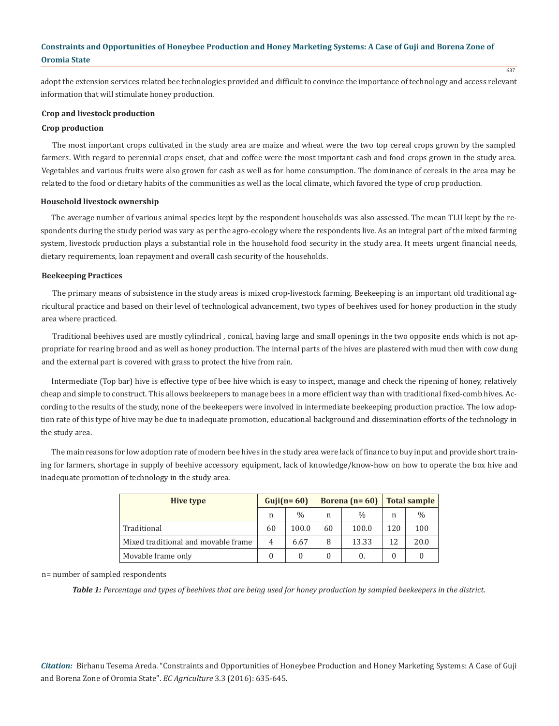adopt the extension services related bee technologies provided and difficult to convince the importance of technology and access relevant information that will stimulate honey production.

# **Crop and livestock production**

# **Crop production**

The most important crops cultivated in the study area are maize and wheat were the two top cereal crops grown by the sampled farmers. With regard to perennial crops enset, chat and coffee were the most important cash and food crops grown in the study area. Vegetables and various fruits were also grown for cash as well as for home consumption. The dominance of cereals in the area may be related to the food or dietary habits of the communities as well as the local climate, which favored the type of crop production.

# **Household livestock ownership**

The average number of various animal species kept by the respondent households was also assessed. The mean TLU kept by the respondents during the study period was vary as per the agro-ecology where the respondents live. As an integral part of the mixed farming system, livestock production plays a substantial role in the household food security in the study area. It meets urgent financial needs, dietary requirements, loan repayment and overall cash security of the households.

# **Beekeeping Practices**

The primary means of subsistence in the study areas is mixed crop-livestock farming. Beekeeping is an important old traditional agricultural practice and based on their level of technological advancement, two types of beehives used for honey production in the study area where practiced.

Traditional beehives used are mostly cylindrical , conical, having large and small openings in the two opposite ends which is not appropriate for rearing brood and as well as honey production. The internal parts of the hives are plastered with mud then with cow dung and the external part is covered with grass to protect the hive from rain.

Intermediate (Top bar) hive is effective type of bee hive which is easy to inspect, manage and check the ripening of honey, relatively cheap and simple to construct. This allows beekeepers to manage bees in a more efficient way than with traditional fixed-comb hives. According to the results of the study, none of the beekeepers were involved in intermediate beekeeping production practice. The low adoption rate of this type of hive may be due to inadequate promotion, educational background and dissemination efforts of the technology in the study area.

The main reasons for low adoption rate of modern bee hives in the study area were lack of finance to buy input and provide short training for farmers, shortage in supply of beehive accessory equipment, lack of knowledge/know-how on how to operate the box hive and inadequate promotion of technology in the study area.

| Hive type                           | $Guji(n=60)$ |               | Borena $(n=60)$ |               | <b>Total sample</b> |               |
|-------------------------------------|--------------|---------------|-----------------|---------------|---------------------|---------------|
|                                     | n            | $\frac{0}{0}$ | n               | $\frac{0}{0}$ | n                   | $\frac{0}{0}$ |
| Traditional                         | 60           | 100.0         | 60              | 100.0         | 120                 | 100           |
| Mixed traditional and movable frame | 4            | 6.67          | 8               | 13.33         | 12                  | 20.0          |
| Movable frame only                  |              | 0             |                 | 0.            | $\theta$            |               |

n= number of sampled respondents

*Table 1: Percentage and types of beehives that are being used for honey production by sampled beekeepers in the district.*

*Citation:* Birhanu Tesema Areda. "Constraints and Opportunities of Honeybee Production and Honey Marketing Systems: A Case of Guji and Borena Zone of Oromia State". *EC Agriculture* 3.3 (2016): 635-645.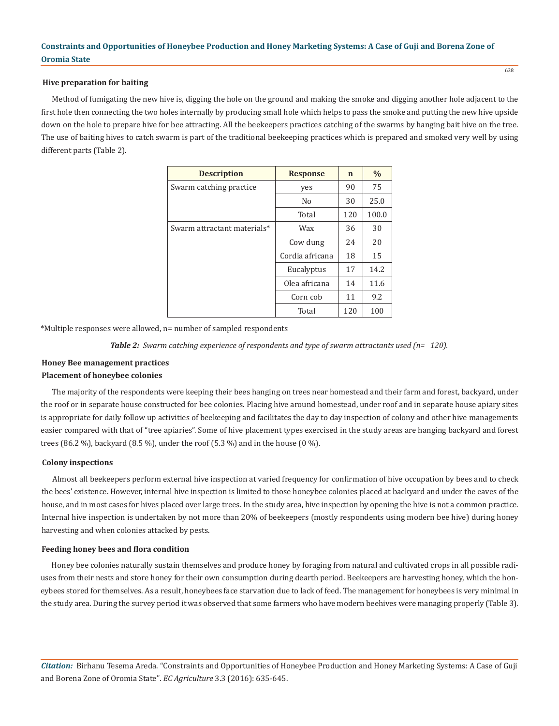# **Hive preparation for baiting**

Method of fumigating the new hive is, digging the hole on the ground and making the smoke and digging another hole adjacent to the first hole then connecting the two holes internally by producing small hole which helps to pass the smoke and putting the new hive upside down on the hole to prepare hive for bee attracting. All the beekeepers practices catching of the swarms by hanging bait hive on the tree. The use of baiting hives to catch swarm is part of the traditional beekeeping practices which is prepared and smoked very well by using different parts (Table 2).

| <b>Description</b>          | <b>Response</b> | n   | $\frac{0}{0}$ |
|-----------------------------|-----------------|-----|---------------|
| Swarm catching practice     | yes             | 90  | 75            |
|                             | N <sub>0</sub>  | 30  | 25.0          |
|                             | Total           | 120 | 100.0         |
| Swarm attractant materials* | Wax             | 36  | 30            |
|                             | Cow dung        | 24  | 20            |
|                             | Cordia africana | 18  | 15            |
|                             | Eucalyptus      | 17  | 14.2          |
|                             | Olea africana   | 14  | 11.6          |
|                             | Corn cob        | 11  | 9.2           |
|                             | Total           | 120 | 100           |

\*Multiple responses were allowed, n= number of sampled respondents

*Table 2: Swarm catching experience of respondents and type of swarm attractants used (n= 120).*

# **Honey Bee management practices**

### **Placement of honeybee colonies**

The majority of the respondents were keeping their bees hanging on trees near homestead and their farm and forest, backyard, under the roof or in separate house constructed for bee colonies. Placing hive around homestead, under roof and in separate house apiary sites is appropriate for daily follow up activities of beekeeping and facilitates the day to day inspection of colony and other hive managements easier compared with that of "tree apiaries". Some of hive placement types exercised in the study areas are hanging backyard and forest trees (86.2 %), backyard (8.5 %), under the roof (5.3 %) and in the house (0 %).

#### **Colony inspections**

Almost all beekeepers perform external hive inspection at varied frequency for confirmation of hive occupation by bees and to check the bees' existence. However, internal hive inspection is limited to those honeybee colonies placed at backyard and under the eaves of the house, and in most cases for hives placed over large trees. In the study area, hive inspection by opening the hive is not a common practice. Internal hive inspection is undertaken by not more than 20% of beekeepers (mostly respondents using modern bee hive) during honey harvesting and when colonies attacked by pests.

#### **Feeding honey bees and flora condition**

Honey bee colonies naturally sustain themselves and produce honey by foraging from natural and cultivated crops in all possible radiuses from their nests and store honey for their own consumption during dearth period. Beekeepers are harvesting honey, which the honeybees stored for themselves. As a result, honeybees face starvation due to lack of feed. The management for honeybees is very minimal in the study area. During the survey period it was observed that some farmers who have modern beehives were managing properly (Table 3).

*Citation:* Birhanu Tesema Areda. "Constraints and Opportunities of Honeybee Production and Honey Marketing Systems: A Case of Guji and Borena Zone of Oromia State". *EC Agriculture* 3.3 (2016): 635-645.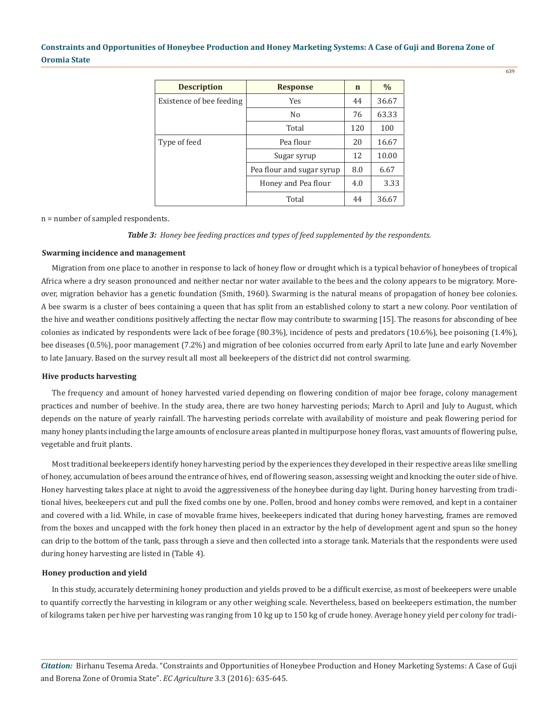| <b>Description</b>       | <b>Response</b>           | n   | $\%$  |
|--------------------------|---------------------------|-----|-------|
| Existence of bee feeding | <b>Yes</b>                | 44  | 36.67 |
|                          | No.                       | 76  | 63.33 |
|                          | Total                     | 120 | 100   |
| Type of feed             | Pea flour                 | 20  | 16.67 |
|                          | Sugar syrup               | 12  | 10.00 |
|                          | Pea flour and sugar syrup | 8.0 | 6.67  |
|                          | Honey and Pea flour       | 4.0 | 3.33  |
|                          | Total                     | 44  | 36.67 |

n = number of sampled respondents.

*Table 3: Honey bee feeding practices and types of feed supplemented by the respondents.*

### **Swarming incidence and management**

Migration from one place to another in response to lack of honey flow or drought which is a typical behavior of honeybees of tropical Africa where a dry season pronounced and neither nectar nor water available to the bees and the colony appears to be migratory. Moreover, migration behavior has a genetic foundation (Smith, 1960). Swarming is the natural means of propagation of honey bee colonies. A bee swarm is a cluster of bees containing a queen that has split from an established colony to start a new colony. Poor ventilation of the hive and weather conditions positively affecting the nectar flow may contribute to swarming [15]. The reasons for absconding of bee colonies as indicated by respondents were lack of bee forage (80.3%), incidence of pests and predators (10.6%), bee poisoning (1.4%), bee diseases (0.5%), poor management (7.2%) and migration of bee colonies occurred from early April to late June and early November to late January. Based on the survey result all most all beekeepers of the district did not control swarming.

#### **Hive products harvesting**

The frequency and amount of honey harvested varied depending on flowering condition of major bee forage, colony management practices and number of beehive. In the study area, there are two honey harvesting periods; March to April and July to August, which depends on the nature of yearly rainfall. The harvesting periods correlate with availability of moisture and peak flowering period for many honey plants including the large amounts of enclosure areas planted in multipurpose honey floras, vast amounts of flowering pulse, vegetable and fruit plants.

Most traditional beekeepers identify honey harvesting period by the experiences they developed in their respective areas like smelling of honey, accumulation of bees around the entrance of hives, end of flowering season, assessing weight and knocking the outer side of hive. Honey harvesting takes place at night to avoid the aggressiveness of the honeybee during day light. During honey harvesting from traditional hives, beekeepers cut and pull the fixed combs one by one. Pollen, brood and honey combs were removed, and kept in a container and covered with a lid. While, in case of movable frame hives, beekeepers indicated that during honey harvesting, frames are removed from the boxes and uncapped with the fork honey then placed in an extractor by the help of development agent and spun so the honey can drip to the bottom of the tank, pass through a sieve and then collected into a storage tank. Materials that the respondents were used during honey harvesting are listed in (Table 4).

#### **Honey production and yield**

In this study, accurately determining honey production and yields proved to be a difficult exercise, as most of beekeepers were unable to quantify correctly the harvesting in kilogram or any other weighing scale. Nevertheless, based on beekeepers estimation, the number of kilograms taken per hive per harvesting was ranging from 10 kg up to 150 kg of crude honey. Average honey yield per colony for tradi-

*Citation:* Birhanu Tesema Areda. "Constraints and Opportunities of Honeybee Production and Honey Marketing Systems: A Case of Guji and Borena Zone of Oromia State". *EC Agriculture* 3.3 (2016): 635-645.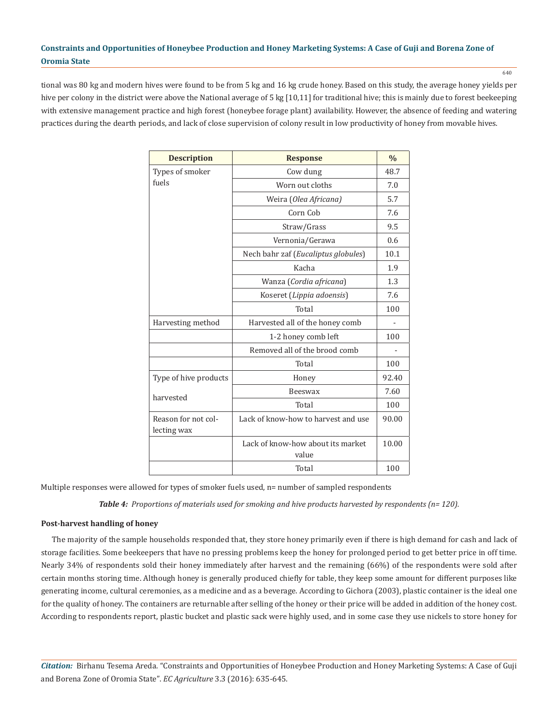tional was 80 kg and modern hives were found to be from 5 kg and 16 kg crude honey. Based on this study, the average honey yields per hive per colony in the district were above the National average of 5 kg [10,11] for traditional hive; this is mainly due to forest beekeeping with extensive management practice and high forest (honeybee forage plant) availability. However, the absence of feeding and watering practices during the dearth periods, and lack of close supervision of colony result in low productivity of honey from movable hives.

| <b>Description</b>                 | <b>Response</b>                            | $\frac{0}{0}$ |
|------------------------------------|--------------------------------------------|---------------|
| Types of smoker                    | Cow dung                                   | 48.7          |
| fuels                              | Worn out cloths                            | 7.0           |
|                                    | Weira (Olea Africana)                      | 5.7           |
|                                    | Corn Cob                                   | 7.6           |
|                                    | Straw/Grass                                | 9.5           |
|                                    | Vernonia/Gerawa                            | 0.6           |
|                                    | Nech bahr zaf (Eucaliptus globules)        | 10.1          |
|                                    | Kacha                                      | 1.9           |
|                                    | Wanza (Cordia africana)                    | 1.3           |
|                                    | Koseret (Lippia adoensis)                  | 7.6           |
|                                    | Total                                      | 100           |
| Harvesting method                  | Harvested all of the honey comb            |               |
|                                    | 1-2 honey comb left                        | 100           |
|                                    | Removed all of the brood comb              |               |
|                                    | Total                                      | 100           |
| Type of hive products              | Honey                                      | 92.40         |
| harvested                          | Beeswax                                    | 7.60          |
|                                    | Total                                      | 100           |
| Reason for not col-<br>lecting wax | Lack of know-how to harvest and use        | 90.00         |
|                                    | Lack of know-how about its market<br>value | 10.00         |
|                                    | Total                                      | 100           |

Multiple responses were allowed for types of smoker fuels used, n= number of sampled respondents

*Table 4: Proportions of materials used for smoking and hive products harvested by respondents (n= 120).*

### **Post-harvest handling of honey**

The majority of the sample households responded that, they store honey primarily even if there is high demand for cash and lack of storage facilities. Some beekeepers that have no pressing problems keep the honey for prolonged period to get better price in off time. Nearly 34% of respondents sold their honey immediately after harvest and the remaining (66%) of the respondents were sold after certain months storing time. Although honey is generally produced chiefly for table, they keep some amount for different purposes like generating income, cultural ceremonies, as a medicine and as a beverage. According to Gichora (2003), plastic container is the ideal one for the quality of honey. The containers are returnable after selling of the honey or their price will be added in addition of the honey cost. According to respondents report, plastic bucket and plastic sack were highly used, and in some case they use nickels to store honey for

*Citation:* Birhanu Tesema Areda. "Constraints and Opportunities of Honeybee Production and Honey Marketing Systems: A Case of Guji and Borena Zone of Oromia State". *EC Agriculture* 3.3 (2016): 635-645.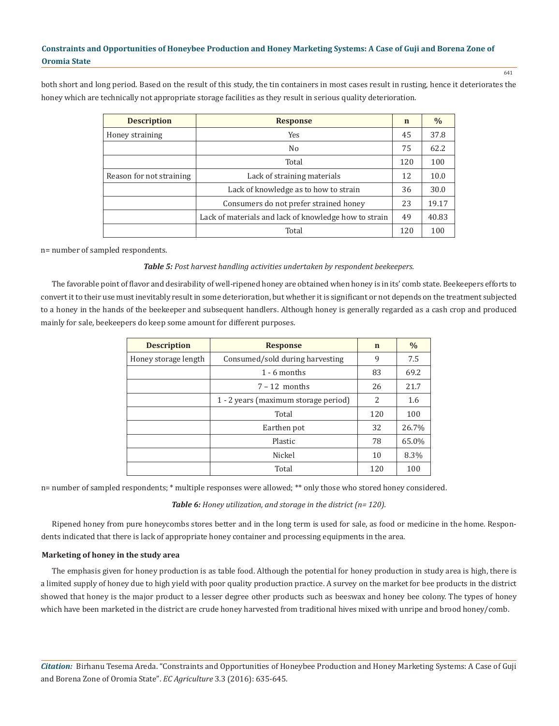both short and long period. Based on the result of this study, the tin containers in most cases result in rusting, hence it deteriorates the honey which are technically not appropriate storage facilities as they result in serious quality deterioration.

| <b>Description</b>       | <b>Response</b>                                       | $\mathbf n$ | $\%$  |
|--------------------------|-------------------------------------------------------|-------------|-------|
| Honey straining          | Yes                                                   | 45          | 37.8  |
|                          | N <sub>0</sub>                                        | 75          | 62.2  |
|                          | Total                                                 | 120         | 100   |
| Reason for not straining | Lack of straining materials                           | 12          | 10.0  |
|                          | Lack of knowledge as to how to strain                 | 36          | 30.0  |
|                          | Consumers do not prefer strained honey                | 23          | 19.17 |
|                          | Lack of materials and lack of knowledge how to strain | 49          | 40.83 |
|                          | Total                                                 | 120         | 100   |

n= number of sampled respondents.

# *Table 5: Post harvest handling activities undertaken by respondent beekeepers.*

The favorable point of flavor and desirability of well-ripened honey are obtained when honey is in its' comb state. Beekeepers efforts to convert it to their use must inevitably result in some deterioration, but whether it is significant or not depends on the treatment subjected to a honey in the hands of the beekeeper and subsequent handlers. Although honey is generally regarded as a cash crop and produced mainly for sale, beekeepers do keep some amount for different purposes.

| <b>Description</b>   | <b>Response</b>                      | $\mathbf n$ | $\frac{0}{0}$ |
|----------------------|--------------------------------------|-------------|---------------|
| Honey storage length | Consumed/sold during harvesting      | 9           | 7.5           |
|                      | $1 - 6$ months                       | 83          | 69.2          |
|                      | $7 - 12$ months                      | 26          | 21.7          |
|                      | 1 - 2 years (maximum storage period) | 2           | 1.6           |
|                      | Total                                | 120         | 100           |
|                      | Earthen pot                          | 32          | 26.7%         |
|                      | Plastic                              | 78          | 65.0%         |
|                      | Nickel                               | 10          | 8.3%          |
|                      | Total                                | 120         | 100           |

n= number of sampled respondents; \* multiple responses were allowed; \*\* only those who stored honey considered.

*Table 6: Honey utilization, and storage in the district (n= 120).*

Ripened honey from pure honeycombs stores better and in the long term is used for sale, as food or medicine in the home. Respondents indicated that there is lack of appropriate honey container and processing equipments in the area.

### **Marketing of honey in the study area**

The emphasis given for honey production is as table food. Although the potential for honey production in study area is high, there is a limited supply of honey due to high yield with poor quality production practice. A survey on the market for bee products in the district showed that honey is the major product to a lesser degree other products such as beeswax and honey bee colony. The types of honey which have been marketed in the district are crude honey harvested from traditional hives mixed with unripe and brood honey/comb.

*Citation:* Birhanu Tesema Areda. "Constraints and Opportunities of Honeybee Production and Honey Marketing Systems: A Case of Guji and Borena Zone of Oromia State". *EC Agriculture* 3.3 (2016): 635-645.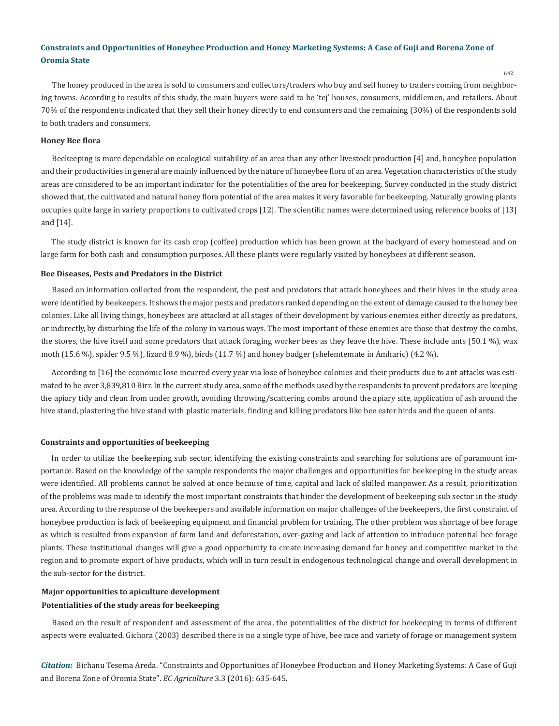The honey produced in the area is sold to consumers and collectors/traders who buy and sell honey to traders coming from neighboring towns. According to results of this study, the main buyers were said to be 'tej' houses, consumers, middlemen, and retailers. About 70% of the respondents indicated that they sell their honey directly to end consumers and the remaining (30%) of the respondents sold to both traders and consumers.

### **Honey Bee flora**

Beekeeping is more dependable on ecological suitability of an area than any other livestock production [4] and, honeybee population and their productivities in general are mainly influenced by the nature of honeybee flora of an area. Vegetation characteristics of the study areas are considered to be an important indicator for the potentialities of the area for beekeeping. Survey conducted in the study district showed that, the cultivated and natural honey flora potential of the area makes it very favorable for beekeeping. Naturally growing plants occupies quite large in variety proportions to cultivated crops [12]. The scientific names were determined using reference books of [13] and [14].

The study district is known for its cash crop (coffee) production which has been grown at the backyard of every homestead and on large farm for both cash and consumption purposes. All these plants were regularly visited by honeybees at different season.

#### **Bee Diseases, Pests and Predators in the District**

Based on information collected from the respondent, the pest and predators that attack honeybees and their hives in the study area were identified by beekeepers. It shows the major pests and predators ranked depending on the extent of damage caused to the honey bee colonies. Like all living things, honeybees are attacked at all stages of their development by various enemies either directly as predators, or indirectly, by disturbing the life of the colony in various ways. The most important of these enemies are those that destroy the combs, the stores, the hive itself and some predators that attack foraging worker bees as they leave the hive. These include ants (50.1 %), wax moth (15.6 %), spider 9.5 %), lizard 8.9 %), birds (11.7 %) and honey badger (shelemtemate in Amharic) (4.2 %).

According to [16] the economic lose incurred every year via lose of honeybee colonies and their products due to ant attacks was estimated to be over 3,839,810 Birr. In the current study area, some of the methods used by the respondents to prevent predators are keeping the apiary tidy and clean from under growth, avoiding throwing/scattering combs around the apiary site, application of ash around the hive stand, plastering the hive stand with plastic materials, finding and killing predators like bee eater birds and the queen of ants.

#### **Constraints and opportunities of beekeeping**

In order to utilize the beekeeping sub sector, identifying the existing constraints and searching for solutions are of paramount importance. Based on the knowledge of the sample respondents the major challenges and opportunities for beekeeping in the study areas were identified. All problems cannot be solved at once because of time, capital and lack of skilled manpower. As a result, prioritization of the problems was made to identify the most important constraints that hinder the development of beekeeping sub sector in the study area. According to the response of the beekeepers and available information on major challenges of the beekeepers, the first constraint of honeybee production is lack of beekeeping equipment and financial problem for training. The other problem was shortage of bee forage as which is resulted from expansion of farm land and deforestation, over-gazing and lack of attention to introduce potential bee forage plants. These institutional changes will give a good opportunity to create increasing demand for honey and competitive market in the region and to promote export of hive products, which will in turn result in endogenous technological change and overall development in the sub-sector for the district.

# **Major opportunities to apiculture development Potentialities of the study areas for beekeeping**

Based on the result of respondent and assessment of the area, the potentialities of the district for beekeeping in terms of different aspects were evaluated. Gichora (2003) described there is no a single type of hive, bee race and variety of forage or management system

*Citation:* Birhanu Tesema Areda. "Constraints and Opportunities of Honeybee Production and Honey Marketing Systems: A Case of Guji and Borena Zone of Oromia State". *EC Agriculture* 3.3 (2016): 635-645.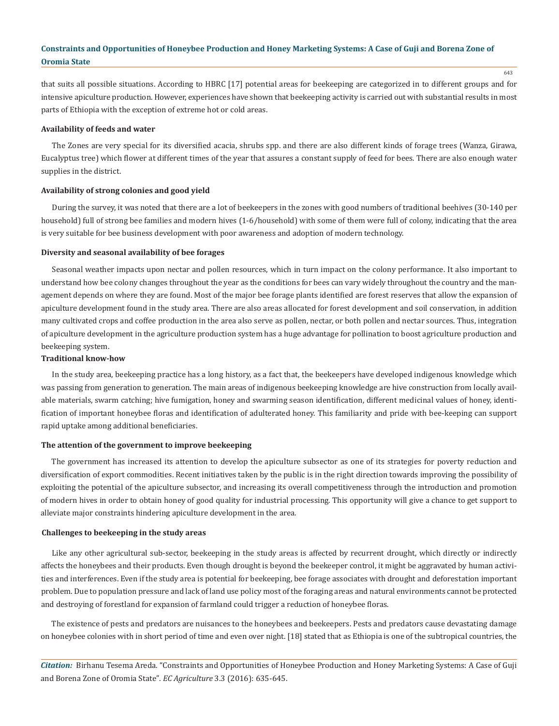that suits all possible situations. According to HBRC [17] potential areas for beekeeping are categorized in to different groups and for intensive apiculture production. However, experiences have shown that beekeeping activity is carried out with substantial results in most parts of Ethiopia with the exception of extreme hot or cold areas.

### **Availability of feeds and water**

The Zones are very special for its diversified acacia, shrubs spp. and there are also different kinds of forage trees (Wanza, Girawa, Eucalyptus tree) which flower at different times of the year that assures a constant supply of feed for bees. There are also enough water supplies in the district.

#### **Availability of strong colonies and good yield**

During the survey, it was noted that there are a lot of beekeepers in the zones with good numbers of traditional beehives (30-140 per household) full of strong bee families and modern hives (1-6/household) with some of them were full of colony, indicating that the area is very suitable for bee business development with poor awareness and adoption of modern technology.

### **Diversity and seasonal availability of bee forages**

Seasonal weather impacts upon nectar and pollen resources, which in turn impact on the colony performance. It also important to understand how bee colony changes throughout the year as the conditions for bees can vary widely throughout the country and the management depends on where they are found. Most of the major bee forage plants identified are forest reserves that allow the expansion of apiculture development found in the study area. There are also areas allocated for forest development and soil conservation, in addition many cultivated crops and coffee production in the area also serve as pollen, nectar, or both pollen and nectar sources. Thus, integration of apiculture development in the agriculture production system has a huge advantage for pollination to boost agriculture production and beekeeping system.

# **Traditional know-how**

In the study area, beekeeping practice has a long history, as a fact that, the beekeepers have developed indigenous knowledge which was passing from generation to generation. The main areas of indigenous beekeeping knowledge are hive construction from locally available materials, swarm catching; hive fumigation, honey and swarming season identification, different medicinal values of honey, identification of important honeybee floras and identification of adulterated honey. This familiarity and pride with bee-keeping can support rapid uptake among additional beneficiaries.

### **The attention of the government to improve beekeeping**

The government has increased its attention to develop the apiculture subsector as one of its strategies for poverty reduction and diversification of export commodities. Recent initiatives taken by the public is in the right direction towards improving the possibility of exploiting the potential of the apiculture subsector, and increasing its overall competitiveness through the introduction and promotion of modern hives in order to obtain honey of good quality for industrial processing. This opportunity will give a chance to get support to alleviate major constraints hindering apiculture development in the area.

# **Challenges to beekeeping in the study areas**

Like any other agricultural sub-sector, beekeeping in the study areas is affected by recurrent drought, which directly or indirectly affects the honeybees and their products. Even though drought is beyond the beekeeper control, it might be aggravated by human activities and interferences. Even if the study area is potential for beekeeping, bee forage associates with drought and deforestation important problem. Due to population pressure and lack of land use policy most of the foraging areas and natural environments cannot be protected and destroying of forestland for expansion of farmland could trigger a reduction of honeybee floras.

The existence of pests and predators are nuisances to the honeybees and beekeepers. Pests and predators cause devastating damage on honeybee colonies with in short period of time and even over night. [18] stated that as Ethiopia is one of the subtropical countries, the

*Citation:* Birhanu Tesema Areda. "Constraints and Opportunities of Honeybee Production and Honey Marketing Systems: A Case of Guji and Borena Zone of Oromia State". *EC Agriculture* 3.3 (2016): 635-645.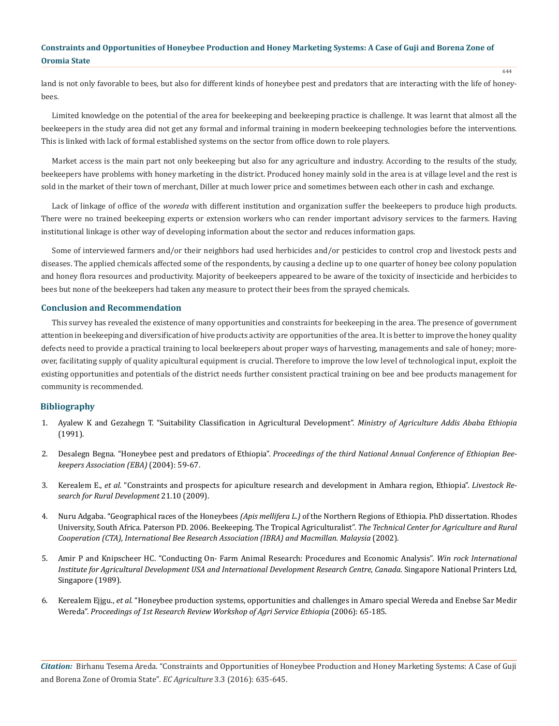land is not only favorable to bees, but also for different kinds of honeybee pest and predators that are interacting with the life of honeybees.

Limited knowledge on the potential of the area for beekeeping and beekeeping practice is challenge. It was learnt that almost all the beekeepers in the study area did not get any formal and informal training in modern beekeeping technologies before the interventions. This is linked with lack of formal established systems on the sector from office down to role players.

Market access is the main part not only beekeeping but also for any agriculture and industry. According to the results of the study, beekeepers have problems with honey marketing in the district. Produced honey mainly sold in the area is at village level and the rest is sold in the market of their town of merchant, Diller at much lower price and sometimes between each other in cash and exchange.

Lack of linkage of office of the *woreda* with different institution and organization suffer the beekeepers to produce high products. There were no trained beekeeping experts or extension workers who can render important advisory services to the farmers. Having institutional linkage is other way of developing information about the sector and reduces information gaps.

Some of interviewed farmers and/or their neighbors had used herbicides and/or pesticides to control crop and livestock pests and diseases. The applied chemicals affected some of the respondents, by causing a decline up to one quarter of honey bee colony population and honey flora resources and productivity. Majority of beekeepers appeared to be aware of the toxicity of insecticide and herbicides to bees but none of the beekeepers had taken any measure to protect their bees from the sprayed chemicals.

# **Conclusion and Recommendation**

This survey has revealed the existence of many opportunities and constraints for beekeeping in the area. The presence of government attention in beekeeping and diversification of hive products activity are opportunities of the area. It is better to improve the honey quality defects need to provide a practical training to local beekeepers about proper ways of harvesting, managements and sale of honey; moreover, facilitating supply of quality apicultural equipment is crucial. Therefore to improve the low level of technological input, exploit the existing opportunities and potentials of the district needs further consistent practical training on bee and bee products management for community is recommended.

### **Bibliography**

- 1. Ayalew K and Gezahegn T. "Suitability Classification in Agricultural Development". *Ministry of Agriculture Addis Ababa Ethiopia* (1991).
- 2. Desalegn Begna. "Honeybee pest and predators of Ethiopia". *Proceedings of the third National Annual Conference of Ethiopian Beekeepers Association (EBA)* (2004): 59-67.
- 3. Kerealem E., *et al.* "Constraints and prospects for apiculture research and development in Amhara region, Ethiopia". *Livestock Research for Rural Development* 21.10 (2009).
- 4. Nuru Adgaba. "Geographical races of the Honeybees *(Apis mellifera L.)* of the Northern Regions of Ethiopia. PhD dissertation. Rhodes University, South Africa. Paterson PD. 2006. Beekeeping. The Tropical Agriculturalist". *The Technical Center for Agriculture and Rural Cooperation (CTA), International Bee Research Association (IBRA) and Macmillan. Malaysia* (2002).
- 5. Amir P and Knipscheer HC. "Conducting On- Farm Animal Research: Procedures and Economic Analysis". *Win rock International Institute for Agricultural Development USA and International Development Research Centre, Canada*. Singapore National Printers Ltd, Singapore (1989).
- 6. Kerealem Ejjgu., *et al.* "Honeybee production systems, opportunities and challenges in Amaro special Wereda and Enebse Sar Medir Wereda". *Proceedings of 1st Research Review Workshop of Agri Service Ethiopia* (2006): 65-185.

*Citation:* Birhanu Tesema Areda. "Constraints and Opportunities of Honeybee Production and Honey Marketing Systems: A Case of Guji and Borena Zone of Oromia State". *EC Agriculture* 3.3 (2016): 635-645.